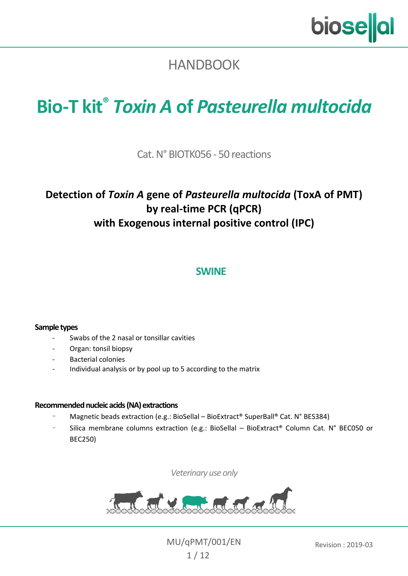

#### HANDBOOK

# <span id="page-0-7"></span>**Bio-T kit®** *Toxin A* **of** *[Pasteurella multocida](#page-0-0)*

<span id="page-0-6"></span><span id="page-0-2"></span><span id="page-0-1"></span><span id="page-0-0"></span>Cat. N[° BIOTK056](#page-0-1) - [50](#page-0-2) reactions

#### **Detection of** *Toxin A* **gene of** *Pasteurella multocida* **[\(ToxA of PMT\)](#page-0-3) by real-time [PCR](#page-0-4) [\(qPCR\)](#page-0-5) with [Exogenous](#page-0-6) internal positive control (IPC)**

#### <span id="page-0-5"></span><span id="page-0-4"></span><span id="page-0-3"></span>**SWINE**

#### **Sample types**

- Swabs of the 2 nasal or tonsillar cavities
- Organ: tonsil biopsy
- Bacterial colonies
- Individual analysis or by pool up to 5 according to the matrix

#### **Recommended nucleic acids(NA) extractions**

- Magnetic beads extraction (e.g.: BioSellal BioExtract® SuperBall® Cat. N° BES384)
- Silica membrane columns extraction (e.g.: BioSellal BioExtract® Column Cat. N° BEC050 or BEC250)

*Veterinary use only*

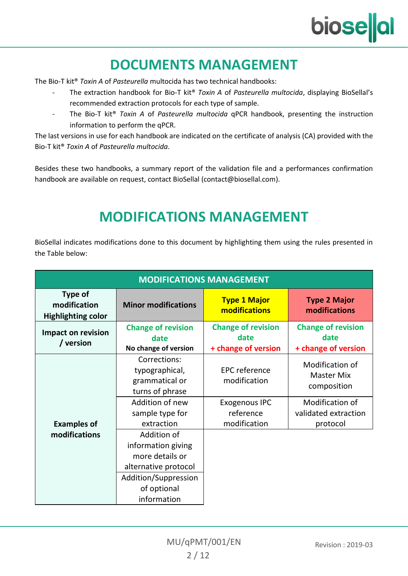# **biose**al

# **DOCUMENTS MANAGEMENT**

The Bio-T kit® *Toxin A* of *[Pasteurella](#page-0-0)* multocida has two technical handbooks:

- The extraction handbook for Bio-T kit® *Toxin A* of *[Pasteurella](#page-0-0) multocida*, displaying BioSellal's recommended extraction protocols for each type of sample.
- The Bio-T kit® *Toxin A* of *[Pasteurella](#page-0-0) multocida* [qPCR](#page-0-5) handbook, presenting the instruction information to perform th[e qPCR.](#page-0-5)

The last versions in use for each handbook are indicated on the certificate of analysis (CA) provided with the Bio-T kit® *Toxin A* of *[Pasteurella](#page-0-0) multocida*.

Besides these two handbooks, a summary report of the validation file and a performances confirmation handbook are available on request, contact BioSellal (contact@biosellal.com).

# **MODIFICATIONS MANAGEMENT**

BioSellal indicates modifications done to this document by highlighting them using the rules presented in the Table below:

| <b>MODIFICATIONS MANAGEMENT</b>                      |                                                                                                                                    |                                                          |                                                          |  |
|------------------------------------------------------|------------------------------------------------------------------------------------------------------------------------------------|----------------------------------------------------------|----------------------------------------------------------|--|
| Type of<br>modification<br><b>Highlighting color</b> | <b>Minor modifications</b>                                                                                                         | <b>Type 1 Major</b><br>modifications                     | <b>Type 2 Major</b><br>modifications                     |  |
| Impact on revision<br>/ version                      | <b>Change of revision</b><br>date<br>No change of version                                                                          | <b>Change of revision</b><br>date<br>+ change of version | <b>Change of revision</b><br>date<br>+ change of version |  |
| <b>Examples of</b>                                   | Corrections:<br>typographical,<br>grammatical or<br>turns of phrase                                                                | <b>EPC</b> reference<br>modification                     | Modification of<br>Master Mix<br>composition             |  |
|                                                      | Addition of new<br>sample type for<br>extraction                                                                                   | <b>Exogenous IPC</b><br>reference<br>modification        | Modification of<br>validated extraction<br>protocol      |  |
| modifications                                        | Addition of<br>information giving<br>more details or<br>alternative protocol<br>Addition/Suppression<br>of optional<br>information |                                                          |                                                          |  |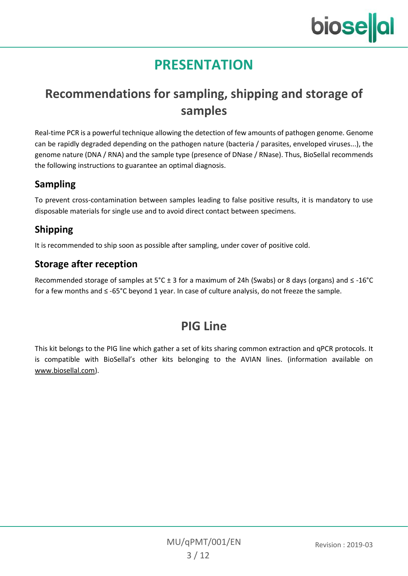# **PRESENTATION**

### **Recommendations for sampling, shipping and storage of samples**

Real-tim[e PCR](#page-0-4) is a powerful technique allowing the detection of few amounts of pathogen genome. Genome can be rapidly degraded depending on the pathogen nature (bacteria / parasites, enveloped viruses...), the genome nature (DNA / RNA) and the sample type (presence of DNase / RNase). Thus, BioSellal recommends the following instructions to guarantee an optimal diagnosis.

#### **Sampling**

To prevent cross-contamination between samples leading to false positive results, it is mandatory to use disposable materials for single use and to avoid direct contact between specimens.

#### **Shipping**

It is recommended to ship soon as possible after sampling, under cover of positive cold.

#### **Storage after reception**

Recommended storage of samples at 5°C ± 3 for a maximum of 24h (Swabs) or 8 days (organs) and ≤ -16°C for a few months and ≤ -65°C beyond 1 year. In case of culture analysis, do not freeze the sample.

### **[PIG](#page-0-7) Line**

This kit belongs to the [PIG](#page-0-7) line which gather a set of kits sharing common extraction an[d qPCR](#page-0-5) protocols. It is compatible with BioSellal's other kits belonging to the AVIAN lines. (information available on [www.biosellal.com\)](http://www.biosellal.com/).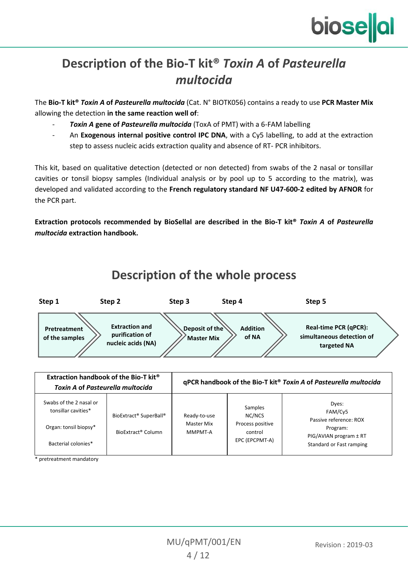

# **Description of the Bio-T kit®** *Toxin A* **of** *[Pasteurella](#page-0-0) [multocida](#page-0-0)*

The **Bio-T kit®** *Toxin A* **of** *[Pasteurella](#page-0-0) multocida* (Cat. N[° BIOTK056\)](#page-0-1) contains a ready to use **PCR Master Mix** allowing the detection **in the same reaction well of**:

- *Toxin A* **gene of** *Pasteurella multocida* [\(ToxA of PMT\)](#page-0-3) with a 6-FAM labelling
- An **[Exogenous](#page-0-6) internal positive control IPC DNA**, with a Cy5 labelling, to add at the extraction step to assess nucleic acids extraction quality and absence of RT- PCR inhibitors.

This kit, based on qualitative detection (detected or non detected) from swabs of the 2 nasal or tonsillar cavities or tonsil biopsy samples (Individual analysis or by pool up to 5 according to the matrix), was developed and validated according to the **French regulatory standard NF U47-600-2 edited by AFNOR** for the PCR part.

**Extraction protocols recommended by BioSellal are described in the Bio-T kit®** *Toxin A* **of** *[Pasteurella](#page-0-0) [multocida](#page-0-0)* **extraction handbook.**

#### **Description of the whole process**



| Extraction handbook of the Bio-T kit <sup>®</sup><br>Toxin A of Pasteurella multocida          |                                              | qPCR handbook of the Bio-T kit® Toxin A of Pasteurella multocida |                                                                    |                                                                                                              |
|------------------------------------------------------------------------------------------------|----------------------------------------------|------------------------------------------------------------------|--------------------------------------------------------------------|--------------------------------------------------------------------------------------------------------------|
| Swabs of the 2 nasal or<br>tonsillar cavities*<br>Organ: tonsil biopsy*<br>Bacterial colonies* | BioExtract® SuperBall®<br>BioExtract® Column | Ready-to-use<br><b>Master Mix</b><br>MMPMT-A                     | Samples<br>NC/NCS<br>Process positive<br>control<br>EPC (EPCPMT-A) | Dyes:<br>FAM/Cy5<br>Passive reference: ROX<br>Program:<br>PIG/AVIAN program ± RT<br>Standard or Fast ramping |

\* pretreatment mandatory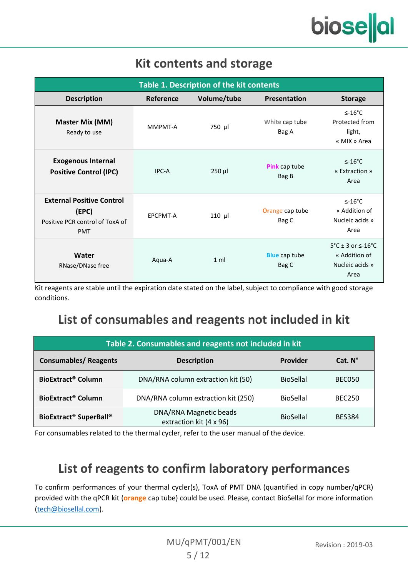#### **Kit contents and storage**

| Table 1. Description of the kit contents                                                   |                 |                |                               |                                                                                          |
|--------------------------------------------------------------------------------------------|-----------------|----------------|-------------------------------|------------------------------------------------------------------------------------------|
| <b>Description</b>                                                                         | Reference       | Volume/tube    | Presentation                  | <b>Storage</b>                                                                           |
| Master Mix (MM)<br>Ready to use                                                            | MMPMT-A         | 750 µl         | White cap tube<br>Bag A       | $\leq$ -16°C<br>Protected from<br>light,<br>« MIX » Area                                 |
| <b>Exogenous Internal</b><br><b>Positive Control (IPC)</b>                                 | IPC-A           | $250$ µ        | Pink cap tube<br>Bag B        | $\leq$ -16°C<br>« Extraction »<br>Area                                                   |
| <b>External Positive Control</b><br>(EPC)<br>Positive PCR control of ToxA of<br><b>PMT</b> | <b>EPCPMT-A</b> | $110$ µ        | Orange cap tube<br>Bag C      | $\leq$ -16°C<br>« Addition of<br>Nucleic acids »<br>Area                                 |
| Water<br>RNase/DNase free                                                                  | Agua-A          | 1 <sub>m</sub> | <b>Blue</b> cap tube<br>Bag C | $5^{\circ}$ C ± 3 or $\leq$ -16 $^{\circ}$ C<br>« Addition of<br>Nucleic acids »<br>Area |

Kit reagents are stable until the expiration date stated on the label, subject to compliance with good storage conditions.

### **List of consumables and reagents not included in kit**

| Table 2. Consumables and reagents not included in kit                                 |                                                   |                  |               |  |
|---------------------------------------------------------------------------------------|---------------------------------------------------|------------------|---------------|--|
| <b>Consumables/ Reagents</b><br>Cat. N <sup>o</sup><br><b>Description</b><br>Provider |                                                   |                  |               |  |
| BioExtract <sup>®</sup> Column                                                        | DNA/RNA column extraction kit (50)                | <b>BioSellal</b> | <b>BEC050</b> |  |
| BioExtract <sup>®</sup> Column                                                        | DNA/RNA column extraction kit (250)               | BioSellal        | <b>BEC250</b> |  |
| BioExtract <sup>®</sup> SuperBall <sup>®</sup>                                        | DNA/RNA Magnetic beads<br>extraction kit (4 x 96) | <b>BioSellal</b> | <b>BES384</b> |  |

For consumables related to the thermal cycler, refer to the user manual of the device.

### **List of reagents to confirm laboratory performances**

To confirm performances of your thermal cycler(s), [ToxA of PMT](#page-0-3) DNA (quantified in copy number/[qPCR\)](#page-0-4) provided with th[e qPCR](#page-0-5) kit (**orange** cap tube) could be used. Please, contact BioSellal for more information [\(tech@biosellal.com\).](mailto:tech@biosellal.com)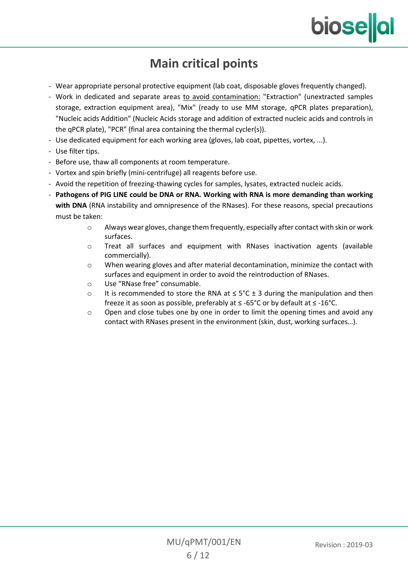### **Main critical points**

- Wear appropriate personal protective equipment (lab coat, disposable gloves frequently changed).
- Work in dedicated and separate areas to avoid contamination: "Extraction" (unextracted samples storage, extraction equipment area), "Mix" (ready to use MM storage, [qPCR](#page-0-5) plates preparation), "Nucleic acids Addition" (Nucleic Acids storage and addition of extracted nucleic acids and controls in th[e qPCR](#page-0-5) plate), "PCR" (final area containing the thermal cycler(s)).
- Use dedicated equipment for each working area (gloves, lab coat, pipettes, vortex, ...).
- Use filter tips.
- Before use, thaw all components at room temperature.
- Vortex and spin briefly (mini-centrifuge) all reagents before use.
- Avoid the repetition of freezing-thawing cycles for samples, lysates, extracted nucleic acids.
- **Pathogens of PIG LINE could be DNA or RNA. Working with RNA is more demanding than working**  with DNA (RNA instability and omnipresence of the RNases). For these reasons, special precautions must be taken:
	- o Always wear gloves, change them frequently, especially after contact with skin or work surfaces.
	- o Treat all surfaces and equipment with RNases inactivation agents (available commercially).
	- $\circ$  When wearing gloves and after material decontamination, minimize the contact with surfaces and equipment in order to avoid the reintroduction of RNases.
	- o Use "RNase free" consumable.
	- o It is recommended to store the RNA at  $\leq 5^{\circ}$ C ± 3 during the manipulation and then freeze it as soon as possible, preferably at ≤ -65°C or by default at ≤ -16°C.
	- $\circ$  Open and close tubes one by one in order to limit the opening times and avoid any contact with RNases present in the environment (skin, dust, working surfaces…).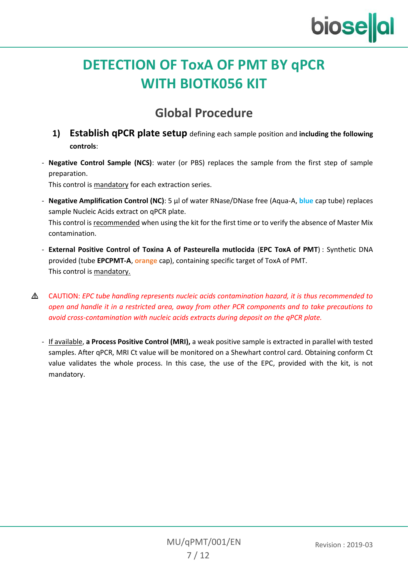# **biose**lal

# **DETECTION OF ToxA OF PMT BY [qPCR](#page-0-5) WITH [BIOTK056](#page-0-1) KIT**

### **Global Procedure**

- **1) Establish [qPCR](#page-0-5) plate setup** defining each sample position and **including the following controls**:
- **Negative Control Sample (NCS)**: water (or PBS) replaces the sample from the first step of sample preparation.

This control is mandatory for each extraction series.

- **Negative Amplification Control (NC)**: 5 µl of water RNase/DNase free (Aqua-A, **blue** cap tube) replaces sample Nucleic Acids extract on [qPCR](#page-0-5) plate. This control is recommended when using the kit for the first time or to verify the absence of Master Mix contamination.
- **External Positive Control of Toxina A of Pasteurella mutlocida** (**EPC ToxA [of PMT](#page-0-3)**) : Synthetic DNA provided (tube **[EPCPMT-A](#page-0-7)**, **orange** cap), containing specific target o[f ToxA of PMT.](#page-0-3) This control is mandatory.
- $\wedge$ CAUTION: *EPC tube handling represents nucleic acids contamination hazard, it is thus recommended to open and handle it in a restricted area, away from other PCR components and to take precautions to avoid cross-contamination with nucleic acids extracts during deposit on the [qPCR](#page-0-5) plate.*
	- If available, **a Process Positive Control (MRI),** a weak positive sample is extracted in parallel with tested samples. Afte[r qPCR,](#page-0-5) MRI Ct value will be monitored on a Shewhart control card. Obtaining conform Ct value validates the whole process. In this case, the use of the EPC, provided with the kit, is not mandatory.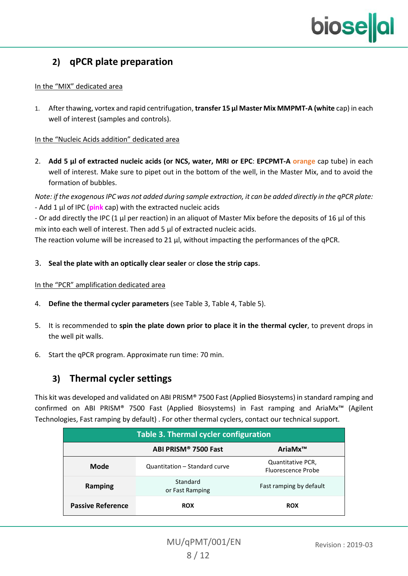# **biose**lal

#### **2) [qPCR](#page-0-5) plate preparation**

#### In the "MIX" dedicated area

1. After thawing, vortex and rapid centrifugation, **transfer 15 µl Master Mi[x MMPMT-A](#page-0-7) (white** cap) in each well of interest (samples and controls).

#### In the "Nucleic Acids addition" dedicated area

2. **Add 5 µl of extracted nucleic acids (or NCS, water, MRI or EPC**: **[EPCPMT-A](#page-0-7) orange** cap tube) in each well of interest. Make sure to pipet out in the bottom of the well, in the Master Mix, and to avoid the formation of bubbles.

*Note: if the exogenous IPC was not added during sample extraction, it can be added directly in the [qPCR](#page-0-5) plate:* - Add 1 μl of IPC (**pink** cap) with the extracted nucleic acids

- Or add directly the IPC (1 μl per reaction) in an aliquot of Master Mix before the deposits of 16 μl of this mix into each well of interest. Then add 5 μl of extracted nucleic acids.

The reaction volume will be increased to 21 μl, without impacting the performances of the [qPCR.](#page-0-5)

3. **Seal the plate with an optically clear sealer** or **close the strip caps**.

In the "PCR" amplification dedicated area

- 4. **Define the thermal cycler parameters** (se[e Table 3,](#page-7-0) [Table 4,](#page-8-0) [Table 5\)](#page-8-1).
- 5. It is recommended to **spin the plate down prior to place it in the thermal cycler**, to prevent drops in the well pit walls.
- 6. Start th[e qPCR](#page-0-5) program. Approximate run time: 70 min.

#### **3) Thermal cycler settings**

This kit was developed and validated on ABI PRISM® 7500 Fast (Applied Biosystems) in standard ramping and confirmed on ABI PRISM® 7500 Fast (Applied Biosystems) in Fast ramping and AriaMx™ (Agilent Technologies, Fast ramping by default) . For other thermal cyclers, contact our technical support.

<span id="page-7-0"></span>

| Table 3. Thermal cycler configuration |                               |                                                |  |  |
|---------------------------------------|-------------------------------|------------------------------------------------|--|--|
| ABI PRISM® 7500 Fast<br>AriaMx™       |                               |                                                |  |  |
| Mode                                  | Quantitation - Standard curve | Quantitative PCR,<br><b>Eluorescence Probe</b> |  |  |
| Ramping                               | Standard<br>or Fast Ramping   | Fast ramping by default                        |  |  |
| <b>Passive Reference</b>              | <b>ROX</b>                    | <b>ROX</b>                                     |  |  |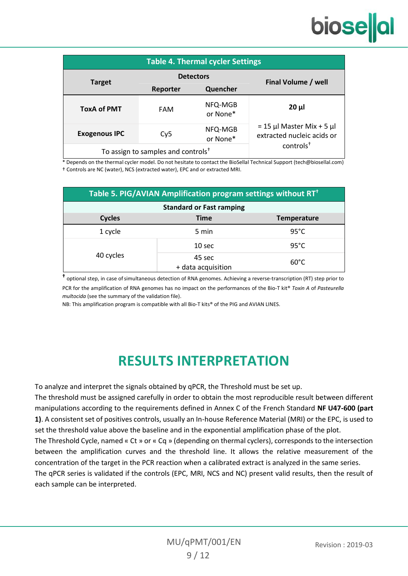# biose al

<span id="page-8-0"></span>

| <b>Table 4. Thermal cycler Settings</b>        |                  |                     |                                                           |  |
|------------------------------------------------|------------------|---------------------|-----------------------------------------------------------|--|
| <b>Target</b>                                  | <b>Detectors</b> |                     | Final Volume / well                                       |  |
|                                                | Reporter         | Quencher            |                                                           |  |
| <b>ToxA of PMT</b>                             | <b>FAM</b>       | NFQ-MGB<br>or None* | 20 µl                                                     |  |
| <b>Exogenous IPC</b>                           | Cy <sub>5</sub>  | NFQ-MGB<br>or None* | $=$ 15 µl Master Mix + 5 µl<br>extracted nucleic acids or |  |
| To assign to samples and controls <sup>+</sup> |                  |                     | $controls^{\dagger}$                                      |  |

\* Depends on the thermal cycler model. Do not hesitate to contact the BioSellal Technical Support (tech@biosellal.com) † Controls are NC (water), NCS (extracted water), EPC and or extracted MRI.

<span id="page-8-1"></span>

| Table 5. PIG/AVIAN Amplification program settings without RT <sup>+</sup> |                              |                    |  |
|---------------------------------------------------------------------------|------------------------------|--------------------|--|
| <b>Standard or Fast ramping</b>                                           |                              |                    |  |
| Cycles                                                                    | <b>Time</b>                  | <b>Temperature</b> |  |
| 1 cycle                                                                   | 5 min                        | $95^{\circ}$ C     |  |
| 40 cycles                                                                 | 10 <sub>sec</sub>            | $95^{\circ}$ C     |  |
|                                                                           | 45 sec<br>+ data acquisition | $60^{\circ}$ C     |  |

**†** optional step, in case ofsimultaneous detection of RNA genomes. Achieving a reverse-transcription (RT) step prior to [PCR](#page-0-4) for the amplification of RNA genomes has no impact on the performances of the Bio-T kit® *Toxin A* of *[Pasteurella](#page-0-0)  [multocida](#page-0-0)* (see the summary of the validation file).

NB: This amplification program is compatible with all Bio-T kits® of the PIG and AVIAN LINES.

# **RESULTS INTERPRETATION**

To analyze and interpret the signals obtained by [qPCR,](#page-0-5) the Threshold must be set up.

The threshold must be assigned carefully in order to obtain the most reproducible result between different manipulations according to the requirements defined in Annex C of the French Standard **NF U47-600 (part 1)**. A consistent set of positives controls, usually an In-house Reference Material (MRI) or the EPC, is used to set the threshold value above the baseline and in the exponential amplification phase of the plot. The Threshold Cycle, named « Ct » or « Cq » (depending on thermal cyclers), corresponds to the intersection between the amplification curves and the threshold line. It allows the relative measurement of the concentration of the target in the PCR reaction when a calibrated extract is analyzed in the same series. The [qPCR](#page-0-5) series is validated if the controls (EPC, MRI, NCS and NC) present valid results, then the result of each sample can be interpreted.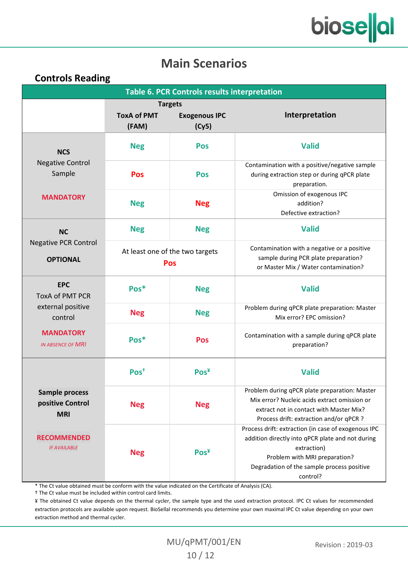# bioselal

#### **Main Scenarios**

#### **Controls Reading**

| Table 6. PCR Controls results interpretation                                                                  |                    |                                        |                                                                                                                                                                                                                   |
|---------------------------------------------------------------------------------------------------------------|--------------------|----------------------------------------|-------------------------------------------------------------------------------------------------------------------------------------------------------------------------------------------------------------------|
| <b>Targets</b>                                                                                                |                    |                                        |                                                                                                                                                                                                                   |
|                                                                                                               | <b>ToxA of PMT</b> | <b>Exogenous IPC</b>                   | Interpretation                                                                                                                                                                                                    |
|                                                                                                               | (FAM)              | (Cy5)                                  |                                                                                                                                                                                                                   |
| <b>NCS</b>                                                                                                    | <b>Neg</b>         | Pos                                    | <b>Valid</b>                                                                                                                                                                                                      |
| <b>Negative Control</b><br>Sample                                                                             | Pos                | Pos                                    | Contamination with a positive/negative sample<br>during extraction step or during qPCR plate<br>preparation.                                                                                                      |
| <b>MANDATORY</b>                                                                                              | <b>Neg</b>         | <b>Neg</b>                             | Omission of exogenous IPC<br>addition?<br>Defective extraction?                                                                                                                                                   |
| <b>NC</b>                                                                                                     | <b>Neg</b>         | <b>Neg</b>                             | <b>Valid</b>                                                                                                                                                                                                      |
| <b>Negative PCR Control</b><br><b>OPTIONAL</b>                                                                |                    | At least one of the two targets<br>Pos | Contamination with a negative or a positive<br>sample during PCR plate preparation?<br>or Master Mix / Water contamination?                                                                                       |
| <b>FPC</b><br>ToxA of PMT PCR<br>external positive<br>control<br><b>MANDATORY</b><br><b>IN ABSENCE OF MRI</b> | Pos*               | <b>Neg</b>                             | <b>Valid</b>                                                                                                                                                                                                      |
|                                                                                                               | <b>Neg</b>         | <b>Neg</b>                             | Problem during qPCR plate preparation: Master<br>Mix error? EPC omission?                                                                                                                                         |
|                                                                                                               | Pos*               | Pos                                    | Contamination with a sample during qPCR plate<br>preparation?                                                                                                                                                     |
|                                                                                                               | Pos <sup>†</sup>   | Pos <sup>Y</sup>                       | <b>Valid</b>                                                                                                                                                                                                      |
| Sample process<br>positive Control<br><b>MRI</b><br><b>RECOMMENDED</b><br><b>IF AVAILABLE</b>                 | <b>Neg</b>         | <b>Neg</b>                             | Problem during qPCR plate preparation: Master<br>Mix error? Nucleic acids extract omission or<br>extract not in contact with Master Mix?<br>Process drift: extraction and/or qPCR ?                               |
|                                                                                                               | <b>Neg</b>         | Pos <sup>¥</sup>                       | Process drift: extraction (in case of exogenous IPC<br>addition directly into qPCR plate and not during<br>extraction)<br>Problem with MRI preparation?<br>Degradation of the sample process positive<br>control? |

\* The Ct value obtained must be conform with the value indicated on the Certificate of Analysis (CA).

† The Ct value must be included within control card limits.

¥ The obtained Ct value depends on the thermal cycler, the sample type and the used extraction protocol. IPC Ct values for recommended extraction protocols are available upon request. BioSellal recommends you determine your own maximal IPC Ct value depending on your own extraction method and thermal cycler.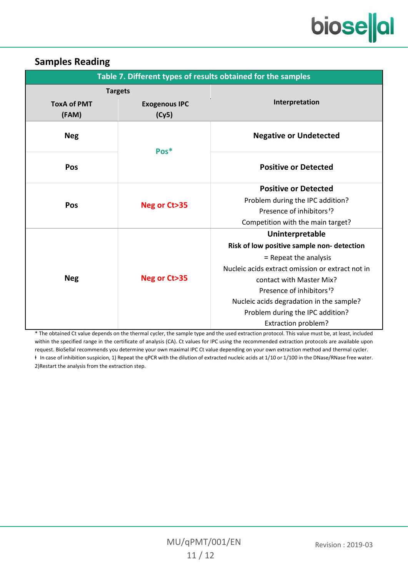#### **Samples Reading**

| Table 7. Different types of results obtained for the samples |                               |                                                                                                                                                                                                                                                                                                                         |
|--------------------------------------------------------------|-------------------------------|-------------------------------------------------------------------------------------------------------------------------------------------------------------------------------------------------------------------------------------------------------------------------------------------------------------------------|
| <b>Targets</b>                                               |                               |                                                                                                                                                                                                                                                                                                                         |
| <b>ToxA of PMT</b><br>(FAM)                                  | <b>Exogenous IPC</b><br>(Cy5) | Interpretation                                                                                                                                                                                                                                                                                                          |
| <b>Neg</b>                                                   | $Pos*$                        | <b>Negative or Undetected</b>                                                                                                                                                                                                                                                                                           |
| Pos                                                          |                               | <b>Positive or Detected</b>                                                                                                                                                                                                                                                                                             |
| Pos                                                          | Neg or Ct>35                  | <b>Positive or Detected</b><br>Problem during the IPC addition?<br>Presence of inhibitors <sup>+</sup> ?<br>Competition with the main target?                                                                                                                                                                           |
| Neg                                                          | Neg or Ct>35                  | Uninterpretable<br>Risk of low positive sample non-detection<br>$=$ Repeat the analysis<br>Nucleic acids extract omission or extract not in<br>contact with Master Mix?<br>Presence of inhibitors <sup>+</sup> ?<br>Nucleic acids degradation in the sample?<br>Problem during the IPC addition?<br>Extraction problem? |

\* The obtained Ct value depends on the thermal cycler, the sample type and the used extraction protocol. This value must be, at least, included within the specified range in the certificate of analysis (CA). Ct values for IPC using the recommended extraction protocols are available upon request. BioSellal recommends you determine your own maximal IPC Ct value depending on your own extraction method and thermal cycler. ⱡ In case of inhibition suspicion, 1) Repeat th[e qPCR](#page-0-5) with the dilution of extracted nucleic acids at 1/10 or 1/100 in the DNase/RNase free water. 2)Restart the analysis from the extraction step.